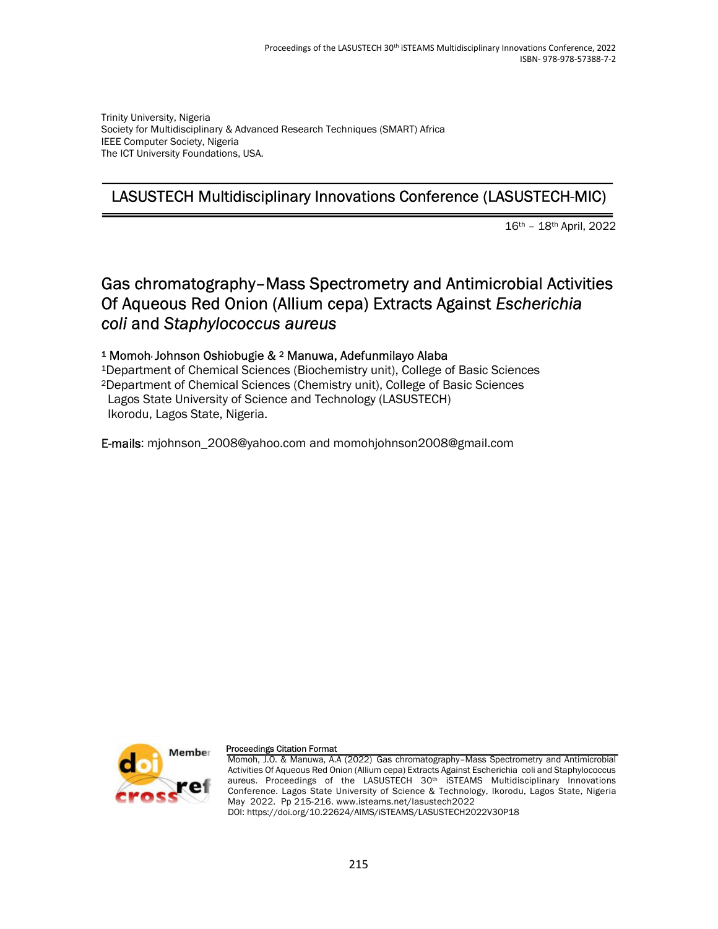Trinity University, Nigeria Society for Multidisciplinary & Advanced Research Techniques (SMART) Africa IEEE Computer Society, Nigeria The ICT University Foundations, USA.

## LASUSTECH Multidisciplinary Innovations Conference (LASUSTECH-MIC)

16th – 18th April, 2022

## Gas chromatography–Mass Spectrometry and Antimicrobial Activities Of Aqueous Red Onion (Allium cepa) Extracts Against Escherichia coli and Staphylococcus aureus

### <sup>1</sup> Momoh, Johnson Oshiobugie & 2 Manuwa, Adefunmilayo Alaba

<sup>1</sup>Department of Chemical Sciences (Biochemistry unit), College of Basic Sciences <sup>2</sup>Department of Chemical Sciences (Chemistry unit), College of Basic Sciences Lagos State University of Science and Technology (LASUSTECH) Ikorodu, Lagos State, Nigeria.

E-mails: mjohnson\_2008@yahoo.com and momohjohnson2008@gmail.com



#### Proceedings Citation Format

Momoh, J.O. & Manuwa, A.A (2022) Gas chromatography–Mass Spectrometry and Antimicrobial Activities Of Aqueous Red Onion (Allium cepa) Extracts Against Escherichia coli and Staphylococcus aureus. Proceedings of the LASUSTECH 30th iSTEAMS Multidisciplinary Innovations Conference. Lagos State University of Science & Technology, Ikorodu, Lagos State, Nigeria May 2022. Pp 215-216. www.isteams.net/lasustech2022 DOI: https://doi.org/10.22624/AIMS/iSTEAMS/LASUSTECH2022V30P18